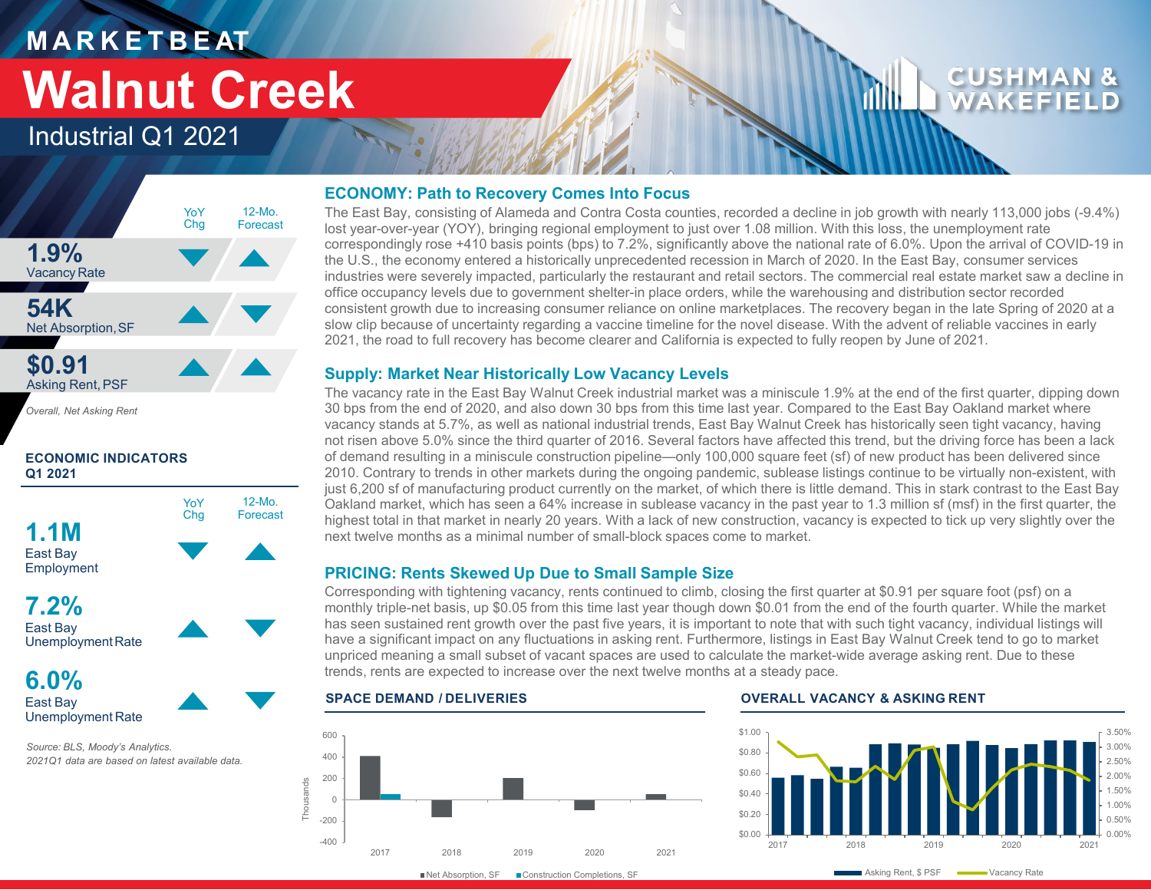## **M A R K E T B E AT Walnut Creek**

### Industrial Q1 2021



*Overall, Net Asking Rent*

#### **ECONOMIC INDICATORS Q1 2021**



East Bay Unemployment Rate

*Source: BLS, Moody's Analytics. 2021Q1 data are based on latest available data.* 

#### **ECONOMY: Path to Recovery Comes Into Focus**

The East Bay, consisting of Alameda and Contra Costa counties, recorded a decline in job growth with nearly 113,000 jobs (-9.4%) lost year-over-year (YOY), bringing regional employment to just over 1.08 million. With this loss, the unemployment rate correspondingly rose +410 basis points (bps) to 7.2%, significantly above the national rate of 6.0%. Upon the arrival of COVID-19 in the U.S., the economy entered a historically unprecedented recession in March of 2020. In the East Bay, consumer services industries were severely impacted, particularly the restaurant and retail sectors. The commercial real estate market saw a decline in office occupancy levels due to government shelter-in place orders, while the warehousing and distribution sector recorded consistent growth due to increasing consumer reliance on online marketplaces. The recovery began in the late Spring of 2020 at a slow clip because of uncertainty regarding a vaccine timeline for the novel disease. With the advent of reliable vaccines in early 2021, the road to full recovery has become clearer and California is expected to fully reopen by June of 2021.

### **Supply: Market Near Historically Low Vacancy Levels**

The vacancy rate in the East Bay Walnut Creek industrial market was a miniscule 1.9% at the end of the first quarter, dipping down 30 bps from the end of 2020, and also down 30 bps from this time last year. Compared to the East Bay Oakland market where vacancy stands at 5.7%, as well as national industrial trends, East Bay Walnut Creek has historically seen tight vacancy, having not risen above 5.0% since the third quarter of 2016. Several factors have affected this trend, but the driving force has been a lack of demand resulting in a miniscule construction pipeline—only 100,000 square feet (sf) of new product has been delivered since 2010. Contrary to trends in other markets during the ongoing pandemic, sublease listings continue to be virtually non-existent, with just 6,200 sf of manufacturing product currently on the market, of which there is little demand. This in stark contrast to the East Bay Oakland market, which has seen a 64% increase in sublease vacancy in the past year to 1.3 million sf (msf) in the first quarter, the highest total in that market in nearly 20 years. With a lack of new construction, vacancy is expected to tick up very slightly over the next twelve months as a minimal number of small-block spaces come to market.

### **PRICING: Rents Skewed Up Due to Small Sample Size**

Corresponding with tightening vacancy, rents continued to climb, closing the first quarter at \$0.91 per square foot (psf) on a monthly triple-net basis, up \$0.05 from this time last year though down \$0.01 from the end of the fourth quarter. While the market has seen sustained rent growth over the past five years, it is important to note that with such tight vacancy, individual listings will have a significant impact on any fluctuations in asking rent. Furthermore, listings in East Bay Walnut Creek tend to go to market unpriced meaning a small subset of vacant spaces are used to calculate the market-wide average asking rent. Due to these trends, rents are expected to increase over the next twelve months at a steady pace.



#### **SPACE DEMAND / DELIVERIES OVERALL VACANCY & ASKING RENT**



CUSHMA WAKEFI

Net Absorption, SF Construction Completions, SF

Asking Rent, \$ PSF Wacancy Rate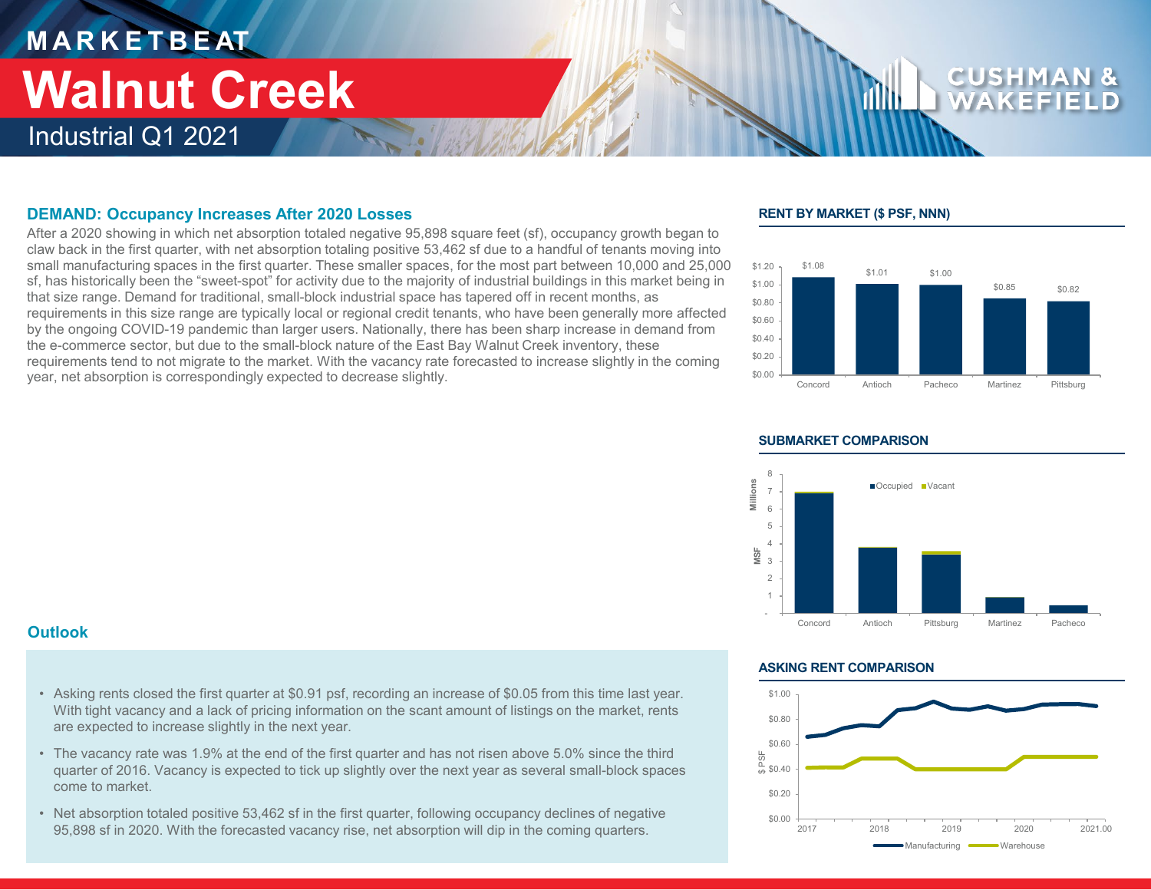### **M A R K E T B E AT** Industrial Q1 2021 **Walnut Creek**

#### **DEMAND: Occupancy Increases After 2020 Losses**

After a 2020 showing in which net absorption totaled negative 95,898 square feet (sf), occupancy growth began to claw back in the first quarter, with net absorption totaling positive 53,462 sf due to a handful of tenants moving into small manufacturing spaces in the first quarter. These smaller spaces, for the most part between 10,000 and 25,000 sf, has historically been the "sweet-spot" for activity due to the majority of industrial buildings in this market being in that size range. Demand for traditional, small-block industrial space has tapered off in recent months, as requirements in this size range are typically local or regional credit tenants, who have been generally more affected by the ongoing COVID-19 pandemic than larger users. Nationally, there has been sharp increase in demand from the e-commerce sector, but due to the small-block nature of the East Bay Walnut Creek inventory, these requirements tend to not migrate to the market. With the vacancy rate forecasted to increase slightly in the coming year, net absorption is correspondingly expected to decrease slightly.

#### **RENT BY MARKET (\$ PSF, NNN)**





#### **SUBMARKET COMPARISON**

#### **Outlook**

- Asking rents closed the first quarter at \$0.91 psf, recording an increase of \$0.05 from this time last year. With tight vacancy and a lack of pricing information on the scant amount of listings on the market, rents are expected to increase slightly in the next year.
- The vacancy rate was 1.9% at the end of the first quarter and has not risen above 5.0% since the third quarter of 2016. Vacancy is expected to tick up slightly over the next year as several small-block spaces come to market.
- Net absorption totaled positive 53,462 sf in the first quarter, following occupancy declines of negative 95,898 sf in 2020. With the forecasted vacancy rise, net absorption will dip in the coming quarters.

#### **ASKING RENT COMPARISON**

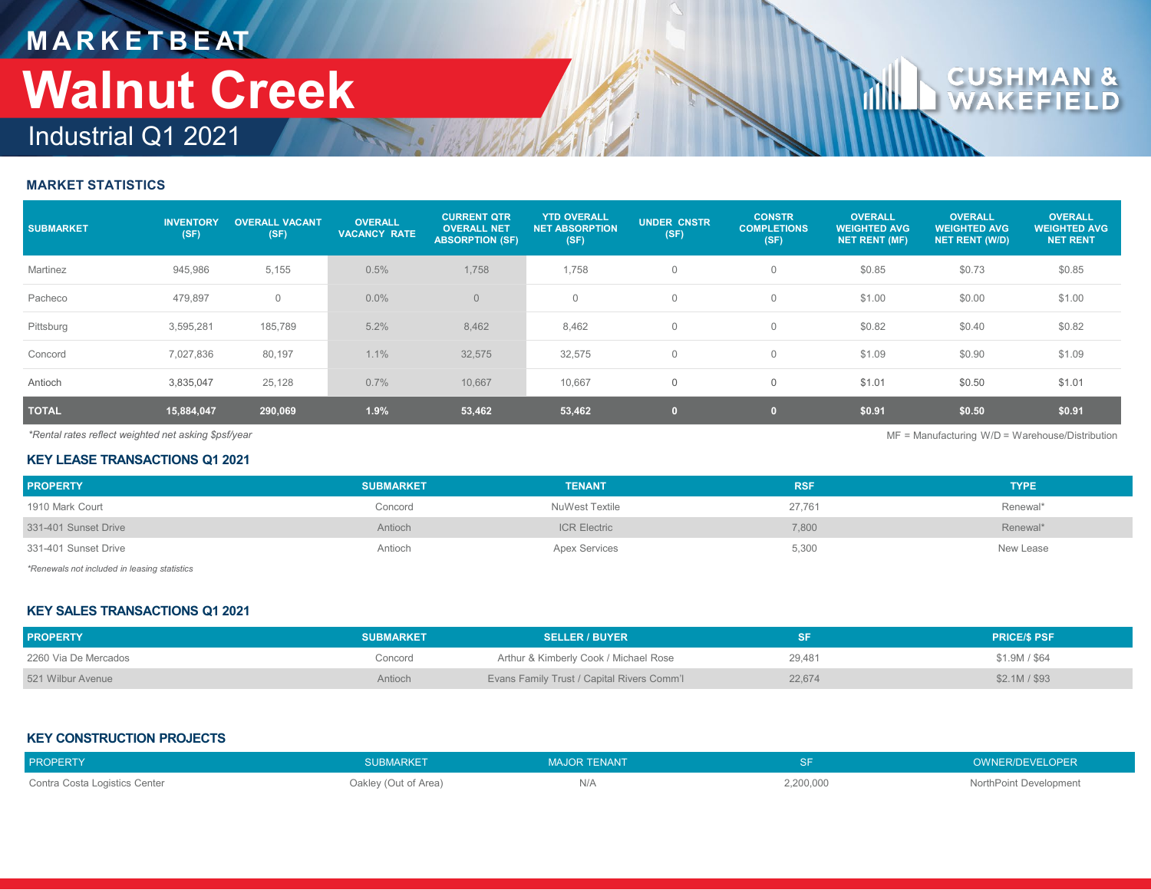## **M A R K E T B E AT** Industrial Q1 2021 **Walnut Creek**

### **MARKET STATISTICS**

| <b>SUBMARKET</b> | <b>INVENTORY</b><br>(SF) | <b>OVERALL VACANT</b><br>(SF) | <b>OVERALL</b><br><b>VACANCY RATE</b> | <b>CURRENT QTR</b><br><b>OVERALL NET</b><br><b>ABSORPTION (SF)</b> | <b>YTD OVERALL</b><br><b>NET ABSORPTION</b><br>(SF) | <b>UNDER CNSTR</b><br>(SF) | <b>CONSTR</b><br><b>COMPLETIONS</b><br>(SF) | <b>OVERALL</b><br><b>WEIGHTED AVG</b><br><b>NET RENT (MF)</b> | <b>OVERALL</b><br><b>WEIGHTED AVG</b><br><b>NET RENT (W/D)</b> | <b>OVERALL</b><br><b>WEIGHTED AVG</b><br><b>NET RENT</b> |
|------------------|--------------------------|-------------------------------|---------------------------------------|--------------------------------------------------------------------|-----------------------------------------------------|----------------------------|---------------------------------------------|---------------------------------------------------------------|----------------------------------------------------------------|----------------------------------------------------------|
| Martinez         | 945,986                  | 5,155                         | 0.5%                                  | 1,758                                                              | 1,758                                               | $\mathbf 0$                |                                             | \$0.85                                                        | \$0.73                                                         | \$0.85                                                   |
| Pacheco          | 479,897                  | $\mathbf{0}$                  | $0.0\%$                               | $\overline{0}$                                                     | $\mathbf{0}$                                        | $\mathbf 0$                | $\Omega$                                    | \$1.00                                                        | \$0.00                                                         | \$1.00                                                   |
| Pittsburg        | 3,595,281                | 185,789                       | 5.2%                                  | 8,462                                                              | 8,462                                               | $\mathbf 0$                | $\Omega$                                    | \$0.82                                                        | \$0.40                                                         | \$0.82                                                   |
| Concord          | 7,027,836                | 80,197                        | 1.1%                                  | 32,575                                                             | 32,575                                              | $\mathbf 0$                | $\Omega$                                    | \$1.09                                                        | \$0.90                                                         | \$1.09                                                   |
| Antioch          | 3,835,047                | 25,128                        | 0.7%                                  | 10,667                                                             | 10,667                                              | $\mathbf 0$                | $\mathbf 0$                                 | \$1.01                                                        | \$0.50                                                         | \$1.01                                                   |
| <b>TOTAL</b>     | 15,884,047               | 290,069                       | 1.9%                                  | 53,462                                                             | 53,462                                              | $\overline{0}$             | $\mathbf{0}$                                | \$0.91                                                        | \$0.50                                                         | \$0.91                                                   |

*\*Rental rates reflect weighted net asking \$psf/year* MF = Manufacturing W/D = Warehouse/Distribution

#### **KEY LEASE TRANSACTIONS Q1 2021**

| <b>PROPERTY</b>                              | <b>SUBMARKET</b> | <b>TENANT</b>        | <b>RSF</b> | <b>TYPE</b> |
|----------------------------------------------|------------------|----------------------|------------|-------------|
| 1910 Mark Court                              | Concord          | NuWest Textile       | 27,761     | Renewal*    |
| 331-401 Sunset Drive                         | Antioch          | <b>ICR Electric</b>  | 7,800      | Renewal*    |
| 331-401 Sunset Drive                         | Antioch          | <b>Apex Services</b> | 5,300      | New Lease   |
| *Penewals not included in leasing statistics |                  |                      |            |             |

*\*Renewals not included in leasing statistics*

#### **KEY SALES TRANSACTIONS Q1 2021**

| <b>PROPERTY</b>      | <b>SUBMARKET</b> | <b>SELLER / BUYER</b>                             |        | <b>PRICE/S PSF</b> |
|----------------------|------------------|---------------------------------------------------|--------|--------------------|
| 2260 Via De Mercados | Concord          | Arthur & Kimberly Cook / Michael Rose             | 29.481 | \$1,9M / \$64      |
| 521 Wilbur Avenue    | Antioch          | <b>Evans Family Trust / Capital Rivers Comm'l</b> | 22,674 | \$2.1M / \$93      |

#### **KEY CONSTRUCTION PROJECTS**

| <b>PROPERTY</b>               | SUBMARKET            | <b>MAJOR TENANT</b> |           | OWNER/DEVELOPER        |
|-------------------------------|----------------------|---------------------|-----------|------------------------|
| Contra Costa Logistics Center | Oakley (Out of Area) | IV/A                | 2,200,000 | NorthPoint Development |